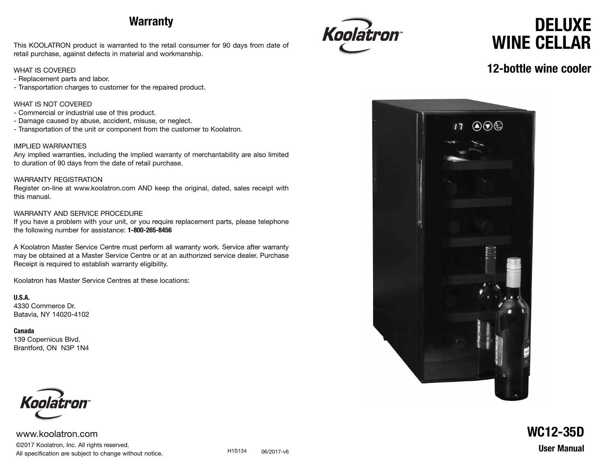### **Warranty**

This KOOLATRON product is warranted to the retail consumer for 90 days from date of retail purchase, against defects in material and workmanship.

#### WHAT IS COVERED

- Replacement parts and labor.
- Transportation charges to customer for the repaired product.

#### WHAT IS NOT COVERED

- Commercial or industrial use of this product.
- Damage caused by abuse, accident, misuse, or neglect.
- Transportation of the unit or component from the customer to Koolatron.

#### IMPLIED WARRANTIES

Any implied warranties, including the implied warranty of merchantability are also limited to duration of 90 days from the date of retail purchase.

#### WARRANTY REGISTRATION

Register on-line at www.koolatron.com AND keep the original, dated, sales receipt with this manual.

#### WARRANTY AND SERVICE PROCEDURE

If you have a problem with your unit, or you require replacement parts, please telephone the following number for assistance: **1-800-265-8456**

A Koolatron Master Service Centre must perform all warranty work. Service after warranty may be obtained at a Master Service Centre or at an authorized service dealer. Purchase Receipt is required to establish warranty eligibility.

Koolatron has Master Service Centres at these locations:

**U.S.A.** 4330 Commerce Dr. Batavia, NY 14020-4102

**Canada** 139 Copernicus Blvd. Brantford, ON N3P 1N4



www.koolatron.com ©2017 Koolatron, Inc. All rights reserved. All specification are subject to change without notice.



# **DELUXE WINE CELLAR**

#### **12-bottle wine cooler**